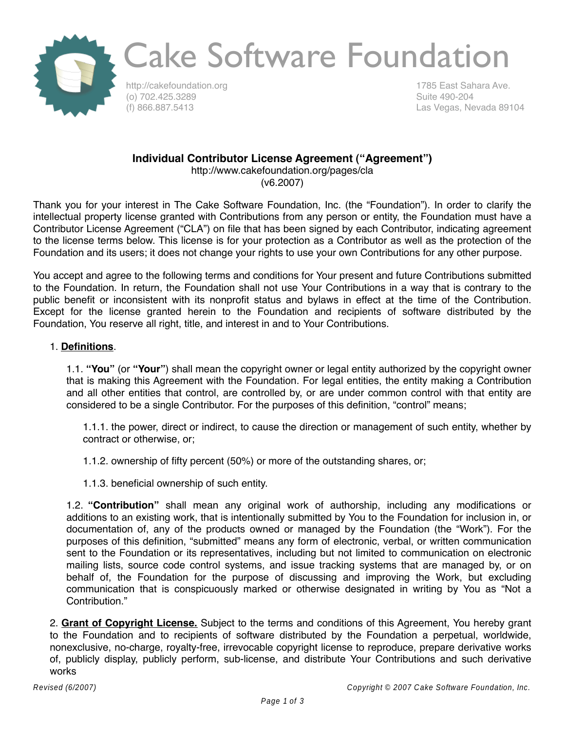

### Cake Software Foundation

http://cakefoundation.org (o) 702.425.3289 (f) 866.887.5413

1785 East Sahara Ave. Suite 490-204 Las Vegas, Nevada 89104

### **Individual Contributor License Agreement ("Agreement")**

http://www.cakefoundation.org/pages/cla (v6.2007)

Thank you for your interest in The Cake Software Foundation, Inc. (the "Foundation"). In order to clarify the intellectual property license granted with Contributions from any person or entity, the Foundation must have a Contributor License Agreement ("CLA") on file that has been signed by each Contributor, indicating agreement to the license terms below. This license is for your protection as a Contributor as well as the protection of the Foundation and its users; it does not change your rights to use your own Contributions for any other purpose.

You accept and agree to the following terms and conditions for Your present and future Contributions submitted to the Foundation. In return, the Foundation shall not use Your Contributions in a way that is contrary to the public benefit or inconsistent with its nonprofit status and bylaws in effect at the time of the Contribution. Except for the license granted herein to the Foundation and recipients of software distributed by the Foundation, You reserve all right, title, and interest in and to Your Contributions.

### 1. **Definitions**.

1.1. **"You"** (or **"Your"**) shall mean the copyright owner or legal entity authorized by the copyright owner that is making this Agreement with the Foundation. For legal entities, the entity making a Contribution and all other entities that control, are controlled by, or are under common control with that entity are considered to be a single Contributor. For the purposes of this definition, "control" means;

1.1.1. the power, direct or indirect, to cause the direction or management of such entity, whether by contract or otherwise, or;

1.1.2. ownership of fifty percent (50%) or more of the outstanding shares, or;

1.1.3. beneficial ownership of such entity.

1.2. **"Contribution"** shall mean any original work of authorship, including any modifications or additions to an existing work, that is intentionally submitted by You to the Foundation for inclusion in, or documentation of, any of the products owned or managed by the Foundation (the "Work"). For the purposes of this definition, "submitted" means any form of electronic, verbal, or written communication sent to the Foundation or its representatives, including but not limited to communication on electronic mailing lists, source code control systems, and issue tracking systems that are managed by, or on behalf of, the Foundation for the purpose of discussing and improving the Work, but excluding communication that is conspicuously marked or otherwise designated in writing by You as "Not a Contribution."

2. **Grant of Copyright License.** Subject to the terms and conditions of this Agreement, You hereby grant to the Foundation and to recipients of software distributed by the Foundation a perpetual, worldwide, nonexclusive, no-charge, royalty-free, irrevocable copyright license to reproduce, prepare derivative works of, publicly display, publicly perform, sub-license, and distribute Your Contributions and such derivative works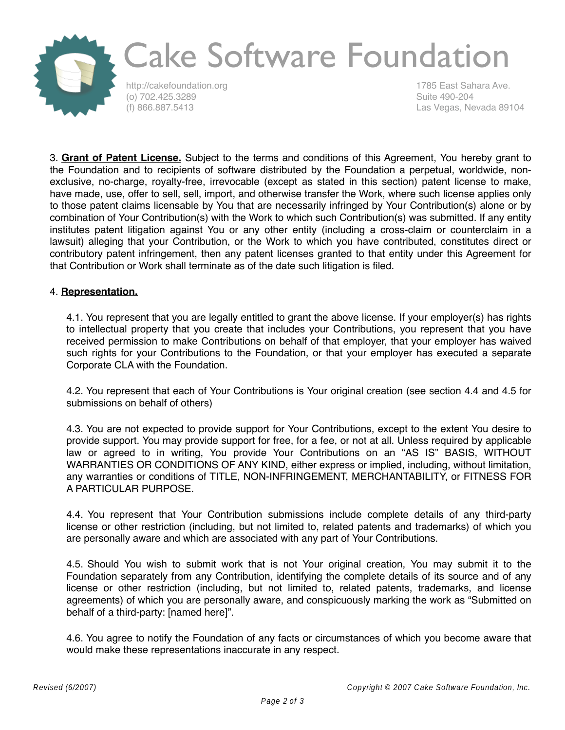

# Cake Software Foundation

http://cakefoundation.org (o) 702.425.3289 (f) 866.887.5413

1785 East Sahara Ave. Suite 490-204 Las Vegas, Nevada 89104

3. **Grant of Patent License.** Subject to the terms and conditions of this Agreement, You hereby grant to the Foundation and to recipients of software distributed by the Foundation a perpetual, worldwide, nonexclusive, no-charge, royalty-free, irrevocable (except as stated in this section) patent license to make, have made, use, offer to sell, sell, import, and otherwise transfer the Work, where such license applies only to those patent claims licensable by You that are necessarily infringed by Your Contribution(s) alone or by combination of Your Contribution(s) with the Work to which such Contribution(s) was submitted. If any entity institutes patent litigation against You or any other entity (including a cross-claim or counterclaim in a lawsuit) alleging that your Contribution, or the Work to which you have contributed, constitutes direct or contributory patent infringement, then any patent licenses granted to that entity under this Agreement for that Contribution or Work shall terminate as of the date such litigation is filed.

#### 4. **Representation.**

4.1. You represent that you are legally entitled to grant the above license. If your employer(s) has rights to intellectual property that you create that includes your Contributions, you represent that you have received permission to make Contributions on behalf of that employer, that your employer has waived such rights for your Contributions to the Foundation, or that your employer has executed a separate Corporate CLA with the Foundation.

4.2. You represent that each of Your Contributions is Your original creation (see section 4.4 and 4.5 for submissions on behalf of others)

4.3. You are not expected to provide support for Your Contributions, except to the extent You desire to provide support. You may provide support for free, for a fee, or not at all. Unless required by applicable law or agreed to in writing, You provide Your Contributions on an "AS IS" BASIS, WITHOUT WARRANTIES OR CONDITIONS OF ANY KIND, either express or implied, including, without limitation, any warranties or conditions of TITLE, NON-INFRINGEMENT, MERCHANTABILITY, or FITNESS FOR A PARTICULAR PURPOSE.

4.4. You represent that Your Contribution submissions include complete details of any third-party license or other restriction (including, but not limited to, related patents and trademarks) of which you are personally aware and which are associated with any part of Your Contributions.

4.5. Should You wish to submit work that is not Your original creation, You may submit it to the Foundation separately from any Contribution, identifying the complete details of its source and of any license or other restriction (including, but not limited to, related patents, trademarks, and license agreements) of which you are personally aware, and conspicuously marking the work as "Submitted on behalf of a third-party: [named here]".

4.6. You agree to notify the Foundation of any facts or circumstances of which you become aware that would make these representations inaccurate in any respect.